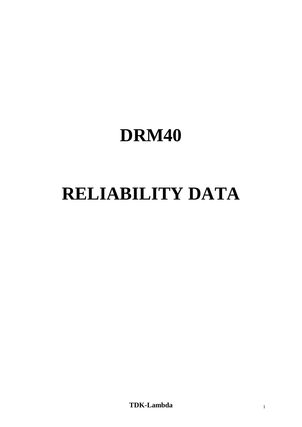# **DRM40**

# **RELIABILITY DATA**

**TDK-Lambda** <sup>1</sup>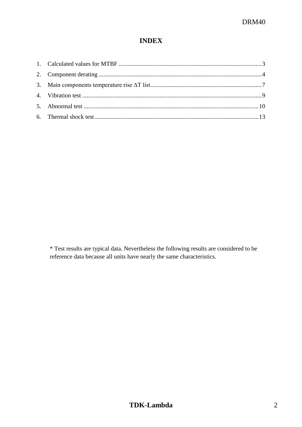# **INDEX**

\* Test results are typical data. Nevertheless the following results are considered to be reference data because all units have nearly the same characteristics.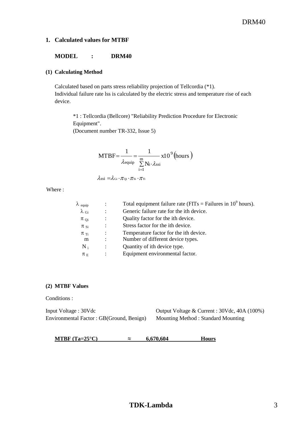#### <span id="page-2-0"></span>**1. Calculated values for MTBF**

#### **MODEL : DRM40**

#### **(1) Calculating Method**

Calculated based on parts stress reliability projection of Tellcordia (\*1). Individual failure rate lss is calculated by the electric stress and temperature rise of each device.

\*1 : Tellcordia (Bellcore) "Reliability Prediction Procedure for Electronic Equipment". (Document number TR-332, Issue 5)

MTBF=
$$
\frac{1}{\lambda_{\text{equiv}}}
$$
 =  $\frac{1}{\sum_{i=1}^{m} N_i \cdot \lambda_{\text{ssi}}}$  x10<sup>9</sup> (hours)

$$
\lambda_{\rm ssi}=\!\!\lambda_{\rm Gi}\!\cdot\!\pi_{\rm Qi}\!\cdot\!\pi_{\rm Si}\!\cdot\!\pi_{\rm Ti}
$$

Where :

| $\lambda$ equip       |                | Total equipment failure rate (FITs = Failures in $10^9$ hours). |
|-----------------------|----------------|-----------------------------------------------------------------|
| $\lambda_{\text{Gi}}$ | $\ddot{\cdot}$ | Generic failure rate for the ith device.                        |
| $\pi_{Qi}$            |                | Quality factor for the ith device.                              |
| $\pi$ si              | $\ddot{\cdot}$ | Stress factor for the ith device.                               |
| $\pi$ <sub>Ti</sub>   | $\ddot{\cdot}$ | Temperature factor for the ith device.                          |
| m                     |                | Number of different device types.                               |
| $N_i$                 |                | Quantity of ith device type.                                    |
| $\pi_E$               |                | Equipment environmental factor.                                 |

#### **(2) MTBF Values**

Conditions :

Input Voltage : 30Vdc Output Voltage & Current : 30Vdc, 40A (100%) Environmental Factor : GB(Ground, Benign) Mounting Method : Standard Mounting

**MTBF** (Ta=25°C)  $\approx$  **6,670,604 Hours**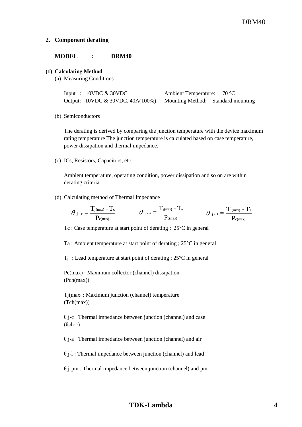#### <span id="page-3-0"></span>**2. Component derating**

#### **MODEL : DRM40**

#### **(1) Calculating Method**

(a) Measuring Conditions

| Input : $10VDC & 30VDC$                                             | Ambient Temperature: $70^{\circ}$ C |  |
|---------------------------------------------------------------------|-------------------------------------|--|
| Output: 10VDC & 30VDC, 40A(100%) Mounting Method: Standard mounting |                                     |  |

(b) Semiconductors

The derating is derived by comparing the junction temperature with the device maximum rating temperature The junction temperature is calculated based on case temperature, power dissipation and thermal impedance.

(c) ICs, Resistors, Capacitors, etc.

Ambient temperature, operating condition, power dissipation and so on are within derating criteria

(d) Calculating method of Thermal Impedance

$$
\theta_{j-c}=\frac{T_{j(\text{max})}-T_c}{P_{c(\text{max})}} \hspace{1cm} \theta_{j-a}=\frac{T_{j(\text{max})}-T_a}{P_{c(\text{max})}} \hspace{1cm} \theta_{j-1}=\frac{T_{j(\text{max})}-T_1}{P_{c(\text{max})}}
$$

Tc : Case temperature at start point of derating; 25°C in general

Ta : Ambient temperature at start point of derating ; 25°C in general

 $T_1$ : Lead temperature at start point of derating ; 25 $\degree$ C in general

Pc(max) : Maximum collector (channel) dissipation (Pch(max))

Tj(max) : Maximum junction (channel) temperature (Tch(max))

θ j-c : Thermal impedance between junction (channel) and case  $(\theta$ ch-c)

 $\theta$  j-a : Thermal impedance between junction (channel) and air

θ j-l : Thermal impedance between junction (channel) and lead

θ j-pin : Thermal impedance between junction (channel) and pin

## **TDK-Lambda** 4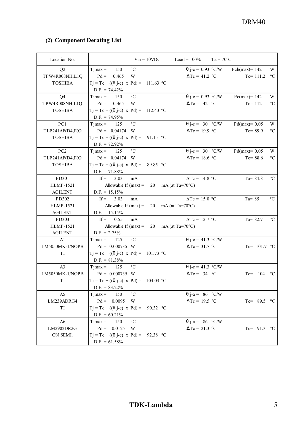# (2) Component Derating List

| (2) Component Derating List      |                                                                        |                                                 | DRM40                           |                  |
|----------------------------------|------------------------------------------------------------------------|-------------------------------------------------|---------------------------------|------------------|
|                                  |                                                                        |                                                 |                                 |                  |
| Location No.                     | $Vin = 10VDC$                                                          | $Load = 100\%$<br>$Ta = 70^{\circ}C$            |                                 |                  |
| Q2                               | $^{\circ}\mathrm{C}$<br>$Tmax =$<br>150                                | $\theta$ j-c = 0.93 °C/W                        | Pch(max)= $142$                 | W                |
| TPW4R008NH,L1Q                   | $Pd =$<br>0.465<br>W                                                   | $\Delta Tc = 41.2$ °C                           | Tc= $111.2$ °C                  |                  |
| <b>TOSHIBA</b>                   | $Tj = Tc + ((\theta j-c) \times Pd) = 111.63$ °C                       |                                                 |                                 |                  |
|                                  | $D.F. = 74.42\%$                                                       |                                                 |                                 |                  |
| Q <sub>4</sub><br>TPW4R008NH,L1Q | $\rm ^{\circ}C$<br>150<br>$T$ jmax =<br>$Pd = 0.465$<br>W              | $\theta$ j-c = 0.93 °C/W<br>$\Delta Tc = 42 °C$ | $Pc(max)=142$<br>$Tc = 112$     | W<br>$^{\circ}C$ |
| <b>TOSHIBA</b>                   | $Tj = Tc + ((\theta j-c) \times Pd) = 112.43$ °C                       |                                                 |                                 |                  |
|                                  | $D.F. = 74.95\%$                                                       |                                                 |                                 |                  |
| PC1                              | 125<br>$^{\circ}C$<br>$Tjmax =$                                        | $\theta$ j-c = 30 °C/W                          | $Pd(max)= 0.05$                 | W                |
| TLP241AF(D4,F(O                  | $Pd = 0.04174$ W                                                       | $\Delta Tc = 19.9$ °C                           | $Tc = 89.9$                     | $^{\circ}C$      |
| <b>TOSHIBA</b>                   | $Tj = Tc + ((\theta j-c) \times Pd) = 91.15$ °C                        |                                                 |                                 |                  |
| PC <sub>2</sub>                  | $D.F. = 72.92\%$<br>$^{\circ}\mathrm{C}$<br>$Tmax =$<br>125            | $\theta$ j-c = 30 °C/W                          |                                 | W                |
| TLP241AF(D4,F(O                  | $Pd = 0.04174$ W                                                       | $\Delta Tc = 18.6$ °C                           | $Pd(max)=0.05$<br>Tc= $88.6$ °C |                  |
| <b>TOSHIBA</b>                   | $Tj = Tc + ((\theta j-c) \times Pd) = 89.85$ °C                        |                                                 |                                 |                  |
|                                  | $D.F. = 71.88\%$                                                       |                                                 |                                 |                  |
| PD301                            | If = $3.03$ mA                                                         | $\Delta Tc = 14.8$ °C                           | $Ta = 84.8$                     | $\rm ^{\circ}C$  |
| HLMP-1521<br><b>AGILENT</b>      | Allowable If $(max) = 20$ mA $(at Ta=70^{\circ}C)$<br>$D.F. = 15.15\%$ |                                                 |                                 |                  |
| PD302                            | If = $3.03$<br>mA                                                      | $\Delta Tc = 15.0$ °C                           | $Ta = 85$                       | $\rm ^{\circ}C$  |
| HLMP-1521                        | Allowable If (max) = 20 mA (at Ta=70°C)                                |                                                 |                                 |                  |
| <b>AGILENT</b>                   | $D.F. = 15.15\%$                                                       |                                                 |                                 |                  |
| PD303                            | If = $0.55$ mA                                                         | $\Delta Tc = 12.7$ °C                           | $Ta = 82.7$                     | $\rm ^{\circ}C$  |
| HLMP-1521                        | Allowable If (max) = 20 mA (at Ta=70°C)                                |                                                 |                                 |                  |
| <b>AGILENT</b><br>A1             | $D.F. = 2.75\%$<br>$Tjmax = 125$ °C                                    | $\theta$ j-c = 41.3 °C/W                        |                                 |                  |
| LM5050MK-1/NOPB                  | $Pd = 0.000735$ W                                                      | $\Delta Tc = 31.7$ °C                           | Tc= $101.7$ °C                  |                  |
| TI                               | $Tj = Tc + ((\theta j-c) \times Pd) = 101.73$ °C                       |                                                 |                                 |                  |
|                                  | $D.F. = 81.38\%$                                                       |                                                 |                                 |                  |
| A3                               | $Tjmax = 125$ °C                                                       | $\theta$ j-c = 41.3 °C/W                        |                                 |                  |
| LM5050MK-1/NOPB<br>TI            | $Pd = 0.000735$ W                                                      | $\Delta Tc = 34$ °C                             | $Tc=104$ °C                     |                  |
|                                  | $Tj = Tc + ((\theta j-c) \times Pd) = 104.03$ °C<br>$D.F. = 83.22\%$   |                                                 |                                 |                  |
| A5                               | $Tjmax = 150$<br>$\rm ^{\circ}C$                                       | $\theta$ j-a = 86 °C/W                          |                                 |                  |
| LM239ADRG4                       | $Pd = 0.0095$ W                                                        | $\Delta Tc = 19.5$ °C                           | Tc= $89.5$ °C                   |                  |
| TI                               | $Tj = Tc + ((\theta j-c) \times Pd) = 90.32$ °C                        |                                                 |                                 |                  |
|                                  | $D.F. = 60.21\%$                                                       |                                                 |                                 |                  |
| A6                               | $Tjmax = 150$ °C                                                       | $\theta$ j-a = 86 °C/W                          |                                 |                  |
| LM2902DR2G<br>ON SEMI.           | $Pd = 0.0125$ W<br>$Tj = Tc + ((\theta j-c) \times Pd) = 92.38$ °C     | $\Delta Tc = 21.3$ °C                           | Tc= $91.3$ °C                   |                  |
|                                  | $D.F. = 61.58\%$                                                       |                                                 |                                 |                  |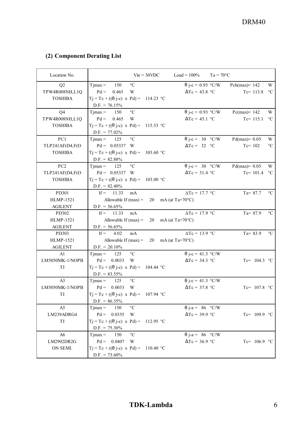# (2) Component Derating List

| (2) Component Derating List       |                                                                      |               |                                               |                    | DRM40                         |                          |
|-----------------------------------|----------------------------------------------------------------------|---------------|-----------------------------------------------|--------------------|-------------------------------|--------------------------|
|                                   |                                                                      |               |                                               |                    |                               |                          |
|                                   |                                                                      |               |                                               |                    |                               |                          |
|                                   |                                                                      |               |                                               |                    |                               |                          |
|                                   |                                                                      |               |                                               |                    |                               |                          |
|                                   |                                                                      |               |                                               |                    |                               |                          |
| Location No.                      |                                                                      | $Vin = 30VDC$ | $Load = 100\%$                                | $Ta = 70^{\circ}C$ |                               |                          |
| Q2                                | $T$ jmax =<br>$\rm ^{\circ}C$<br>150                                 |               | $\theta$ j-c = 0.93 °C/W                      |                    | Pch(max)= $142$               | W                        |
| TPW4R008NH,L1Q                    | 0.465<br>$Pd =$<br>W                                                 |               | $\Delta Tc = 43.8$ °C                         |                    | Tc= $113.8$ °C                |                          |
| <b>TOSHIBA</b>                    | $Tj = Tc + ((\theta j-c) \times Pd) = 114.23$ °C                     |               |                                               |                    |                               |                          |
| Q <sub>4</sub>                    | $D.F. = 76.15\%$<br>$^{\circ}C$<br>150<br>$T$ jmax =                 |               | $\theta$ j-c = 0.93 °C/W                      |                    | $Pc(max)=142$                 | W                        |
| TPW4R008NH,L1Q                    | $Pd = 0.465$<br>W                                                    |               | $\Delta Tc = 45.1$ °C                         |                    | $Tc=115.1$                    | $\rm ^{\circ}C$          |
| <b>TOSHIBA</b>                    | $Tj = Tc + ((\theta j-c) \times Pd) = 115.53$ °C                     |               |                                               |                    |                               |                          |
|                                   | $D.F. = 77.02\%$                                                     |               |                                               |                    |                               |                          |
| PC1<br>TLP241AF(D4,F(O            | $^{\circ}C$<br>125<br>$T$ jmax =<br>$Pd = 0.05337$ W                 |               | $\theta$ j-c = 30 °C/W<br>$\Delta Tc = 32 °C$ |                    | $Pd(max)= 0.05$<br>$Te = 102$ | W<br>$^{\circ} \text{C}$ |
| <b>TOSHIBA</b>                    | $Tj = Tc + ((\theta j-c) \times Pd) = 103.60$ °C                     |               |                                               |                    |                               |                          |
|                                   | $D.F. = 82.88\%$                                                     |               |                                               |                    |                               |                          |
| PC <sub>2</sub>                   | $^{\circ}\mathrm{C}$<br>125<br>$T$ jmax =                            |               | $\theta$ j-c = 30 °C/W                        |                    | $Pd(max)= 0.05$               | W                        |
| TLP241AF(D4,F(O<br><b>TOSHIBA</b> | $Pd = 0.05337$ W<br>$Tj = Tc + ((\theta j-c) \times Pd) = 103.00 °C$ |               | $\Delta Tc = 31.4$ °C                         |                    | Tc= $101.4$ °C                |                          |
|                                   | $D.F. = 82.40\%$                                                     |               |                                               |                    |                               |                          |
| PD301                             | If = $11.33$ mA                                                      |               | $\Delta Tc = 17.7$ °C                         |                    | Ta= $87.7$ °C                 |                          |
| HLMP-1521<br><b>AGILENT</b>       | Allowable If $(max) = 20$ mA (at Ta=70°C)<br>$D.F. = 56.65\%$        |               |                                               |                    |                               |                          |
| PD302                             | If = $11.33$ mA                                                      |               | $\Delta Tc = 17.9$ °C                         |                    | Ta= $87.9$ °C                 |                          |
| HLMP-1521                         | Allowable If $(max) = 20$ mA $(at Ta=70^{\circ}C)$                   |               |                                               |                    |                               |                          |
| <b>AGILENT</b>                    | $D.F. = 56.65\%$                                                     |               |                                               |                    |                               |                          |
| PD303<br>HLMP-1521                | If = $4.02$ mA<br>Allowable If $(max) = 20$ mA (at Ta=70°C)          |               | $\Delta Tc = 13.9$ °C                         |                    | $Ta = 83.9$                   | $\rm ^{\circ}C$          |
| <b>AGILENT</b>                    | $D.F. = 20.10\%$                                                     |               |                                               |                    |                               |                          |
| A1                                | $Tjmax = 125$ °C                                                     |               | $\theta$ j-c = 41.3 °C/W                      |                    |                               |                          |
| LM5050MK-1/NOPB                   | $Pd = 0.0033$ W                                                      |               | $\Delta Tc = 34.3$ °C                         |                    | Tc= $104.3$ °C                |                          |
| TI                                | $Tj = Tc + ((\theta j-c) \times Pd) = 104.44$ °C<br>$D.F. = 83.55\%$ |               |                                               |                    |                               |                          |
| A3                                | $T$ jmax = 125 °C                                                    |               | $\theta$ j-c = 41.3 °C/W                      |                    |                               |                          |
| LM5050MK-1/NOPB                   | $Pd = 0.0033$ W                                                      |               | $\Delta Tc = 37.8$ °C                         |                    | Tc= $107.8$ °C                |                          |
| TI                                | $Tj = Tc + ((\theta j-c) \times Pd) = 107.94$ °C                     |               |                                               |                    |                               |                          |
| A5                                | $D.F. = 86.35\%$<br>$T$ jmax = 150 °C                                |               | $\theta$ j-a = 86 °C/W                        |                    |                               |                          |
| LM239ADRG4                        | $Pd = 0.0355$ W                                                      |               | $\Delta Tc = 39.9$ °C                         |                    | Tc= $109.9 \text{ °C}$        |                          |
| TI                                | $Tj = Tc + ((\theta j-c) \times Pd) = 112.95 °C$                     |               |                                               |                    |                               |                          |
| A6                                | $D.F. = 75.30\%$<br>$T$ jmax = 150 °C                                |               | $\theta$ j-a = 86 °C/W                        |                    |                               |                          |
| LM2902DR2G                        | $Pd = 0.0407$ W                                                      |               | $\Delta Tc = 36.9$ °C                         |                    | Tc= $106.9$ °C                |                          |
| ON SEMI.                          | $Tj = Tc + ((\theta j-c) \times Pd) = 110.40 °C$                     |               |                                               |                    |                               |                          |
|                                   | $D.F. = 73.60\%$                                                     |               |                                               |                    |                               |                          |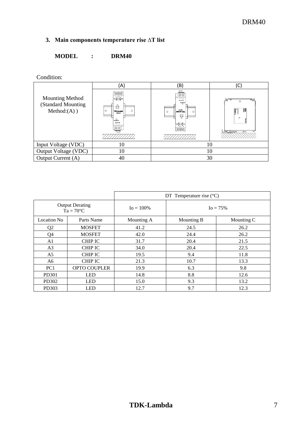# <span id="page-6-0"></span>**3. Main components temperature rise ∆T list**

## **MODEL : DRM40**

Condition:

|                                                               | (A)                                                                                                                                                                                                                                                                                                                     | (B)                                                                                                                                                                                                                                                                                                                                                  | С                         |  |  |  |  |
|---------------------------------------------------------------|-------------------------------------------------------------------------------------------------------------------------------------------------------------------------------------------------------------------------------------------------------------------------------------------------------------------------|------------------------------------------------------------------------------------------------------------------------------------------------------------------------------------------------------------------------------------------------------------------------------------------------------------------------------------------------------|---------------------------|--|--|--|--|
| <b>Mounting Method</b><br>(Standard Mounting<br>$Method(A)$ ) | $\begin{array}{c c} + & - & + & - \\ \hline \text{nc} & \text{nc} \\ \text{ccupan} & \text{scupan} \\ \text{BA} & \text{BA} \end{array}$<br>$-30 -$<br>00.02<br>00<br>$\circ$<br>$\cap$<br><b>TDK-Lambde</b><br>DRM40<br>$\mathcal{Q}_{\text{source}}$<br><b>OUTPUT ADA</b><br>$+ -$<br>$\sim$ $\sim$<br>$\circledcirc$ | $\circledcirc$<br>$-1$<br><b>YOU'LL GOT</b><br>30 EBWY<br><b>ObVVidO</b><br>$\circ$<br>epque 7-ya1<br>$\Omega$<br>00000<br>Lapl<br>$\begin{array}{c c c c c c} \mathbf{W} & \mathbf{W} & \mathbf{W} \\ \mathbf{W} & \mathbf{W} & \mathbf{W} \\ \mathbf{W} & \mathbf{W} & \mathbf{W} \\ \mathbf{W} & \mathbf{W} & \mathbf{W} \end{array}$<br>OHO JOHC | $\langle 0 \rangle$<br>11 |  |  |  |  |
| Input Voltage (VDC)                                           | 10                                                                                                                                                                                                                                                                                                                      | 10                                                                                                                                                                                                                                                                                                                                                   |                           |  |  |  |  |
| Output Voltage (VDC)                                          | 10                                                                                                                                                                                                                                                                                                                      | 10                                                                                                                                                                                                                                                                                                                                                   |                           |  |  |  |  |
| Output Current (A)                                            | 40                                                                                                                                                                                                                                                                                                                      |                                                                                                                                                                                                                                                                                                                                                      | 30                        |  |  |  |  |

|                 |                                              | DT Temperature rise $(^{\circ}C)$ |              |            |  |  |  |  |  |  |
|-----------------|----------------------------------------------|-----------------------------------|--------------|------------|--|--|--|--|--|--|
|                 | <b>Output Derating</b><br>$Ta = 70^{\circ}C$ | $I_0 = 100\%$                     | $I_0 = 75\%$ |            |  |  |  |  |  |  |
| Location No     | Parts Name                                   | Mounting A                        | Mounting B   | Mounting C |  |  |  |  |  |  |
| Q <sub>2</sub>  | <b>MOSFET</b>                                | 41.2                              | 24.5         | 26.2       |  |  |  |  |  |  |
| Q4              | <b>MOSFET</b>                                | 42.0                              | 24.4         | 26.2       |  |  |  |  |  |  |
| A <sub>1</sub>  | <b>CHIP IC</b>                               | 31.7                              | 20.4         | 21.5       |  |  |  |  |  |  |
| A <sub>3</sub>  | <b>CHIP IC</b>                               | 34.0                              | 20.4         | 22.5       |  |  |  |  |  |  |
| A <sub>5</sub>  | <b>CHIP IC</b>                               | 19.5                              | 9.4          | 11.8       |  |  |  |  |  |  |
| A <sub>6</sub>  | <b>CHIP IC</b>                               | 21.3                              | 10.7         | 13.3       |  |  |  |  |  |  |
| PC <sub>1</sub> | <b>OPTO COUPLER</b>                          | 19.9                              | 6.3          | 9.8        |  |  |  |  |  |  |
| PD301           | <b>LED</b>                                   | 14.8                              | 8.8          | 12.6       |  |  |  |  |  |  |
| PD302           | <b>LED</b>                                   | 15.0                              | 9.3          | 13.2       |  |  |  |  |  |  |
| PD303           | <b>LED</b>                                   | 12.7                              | 9.7<br>12.3  |            |  |  |  |  |  |  |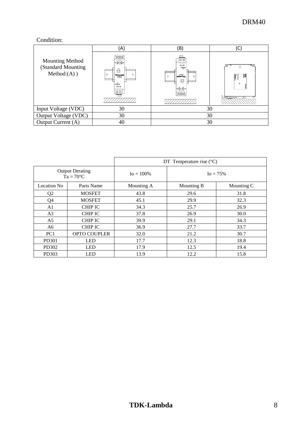## Condition:

|                                                               | (A)                                                                                                                                                                                                                                                                                                            | (B)                                                                                                                                                                                                                                 |                  |  |  |  |  |
|---------------------------------------------------------------|----------------------------------------------------------------------------------------------------------------------------------------------------------------------------------------------------------------------------------------------------------------------------------------------------------------|-------------------------------------------------------------------------------------------------------------------------------------------------------------------------------------------------------------------------------------|------------------|--|--|--|--|
| <b>Mounting Method</b><br>(Standard Mounting<br>$Method(A)$ ) | $\begin{array}{c c} * & - & + & - \\ \hline \text{nc} & \text{nc} & \text{nc} \\ \text{ocusaw} & \text{max} & \text{max} \end{array}$<br>$r^{3C}$<br>00.00<br>0 <sup>o</sup><br>$\circ$<br>$\Omega$<br><b>TDK-Lambda</b><br>DRM40<br>$\sum_{\text{Wukton}}$<br>CUTFUT ADA<br>$+ -$<br>$\sim$<br>$\circledcirc$ | <b>VER JINJING</b><br>so gavern<br>OHWHO<br>$\Omega$<br>epquer}>(CL<br>$\cap$<br>00<br>DO DO<br>Lagi<br>$\begin{array}{c c c c} \text{VIC} & \text{VIC} \\ \text{MPCI DE} & \text{MPCI DE} \\ \text{DE} & \text{DE} \\ \end{array}$ | $\left($ a<br>11 |  |  |  |  |
| Input Voltage (VDC)                                           | 30                                                                                                                                                                                                                                                                                                             |                                                                                                                                                                                                                                     | 30               |  |  |  |  |
| Output Voltage (VDC)                                          | 30                                                                                                                                                                                                                                                                                                             | 30                                                                                                                                                                                                                                  |                  |  |  |  |  |
| Output Current (A)                                            | 40                                                                                                                                                                                                                                                                                                             | 30                                                                                                                                                                                                                                  |                  |  |  |  |  |

|                 |                                              | DT Temperature rise $(^{\circ}C)$ |              |            |  |  |  |  |  |  |  |
|-----------------|----------------------------------------------|-----------------------------------|--------------|------------|--|--|--|--|--|--|--|
|                 | <b>Output Derating</b><br>$Ta = 70^{\circ}C$ | $I_0 = 100\%$                     | $I_0 = 75\%$ |            |  |  |  |  |  |  |  |
| Location No     | Parts Name                                   | Mounting A                        | Mounting B   | Mounting C |  |  |  |  |  |  |  |
| Q2              | <b>MOSFET</b>                                | 43.8                              | 29.6         | 31.8       |  |  |  |  |  |  |  |
| O4              | <b>MOSFET</b>                                | 45.1                              | 29.9         | 32.3       |  |  |  |  |  |  |  |
| A1              | <b>CHIP IC</b>                               | 34.3                              | 25.7         | 26.9       |  |  |  |  |  |  |  |
| A <sub>3</sub>  | <b>CHIP IC</b>                               | 37.8                              | 26.9         | 30.0       |  |  |  |  |  |  |  |
| A <sub>5</sub>  | <b>CHIP IC</b>                               | 39.9                              | 29.1         | 34.3       |  |  |  |  |  |  |  |
| A6              | <b>CHIP IC</b>                               | 36.9                              | 27.7         | 33.7       |  |  |  |  |  |  |  |
| PC <sub>1</sub> | <b>OPTO COUPLER</b>                          | 32.0                              | 21.2         | 30.7       |  |  |  |  |  |  |  |
| <b>PD301</b>    | <b>LED</b>                                   | 17.7                              | 12.3         | 18.8       |  |  |  |  |  |  |  |
| PD302           | <b>LED</b>                                   | 17.9                              | 12.5         | 19.4       |  |  |  |  |  |  |  |
| PD303           | <b>LED</b>                                   | 13.9                              | 12.2         | 15.8       |  |  |  |  |  |  |  |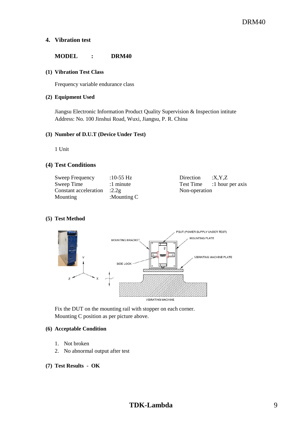#### <span id="page-8-0"></span>**4. Vibration test**

#### **MODEL : DRM40**

#### **(1) Vibration Test Class**

Frequency variable endurance class

#### **(2) Equipment Used**

Jiangsu Electronic Information Product Quality Supervision & Inspection intitute Address: No. 100 Jinshui Road, Wuxi, Jiangsu, P. R. China

#### **(3) Number of D.U.T (Device Under Test)**

1 Unit

#### **(4) Test Conditions**

| Sweep Frequency       | :10-55 Hz      | Direction     | X. Y. Z          |
|-----------------------|----------------|---------------|------------------|
| Sweep Time            | :1 minute      | Test Time     | :1 hour per axis |
| Constant acceleration | :2.29          | Non-operation |                  |
| Mounting              | : Mounting $C$ |               |                  |

#### **(5) Test Method**



Fix the DUT on the mounting rail with stopper on each corner. Mounting C position as per picture above.

#### **(6) Acceptable Condition**

- 1. Not broken
- 2. No abnormal output after test

### **(7) Test Results - OK**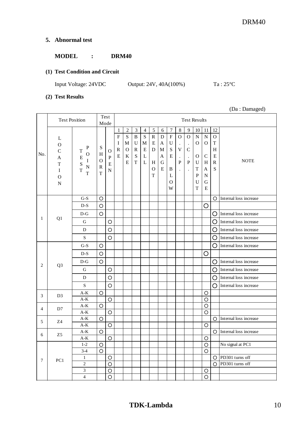## <span id="page-9-0"></span>**5. Abnormal test**

## **MODEL : DRM40**

### **(1) Test Condition and Circuit**

Input Voltage: 24VDC Output: 24V, 40A(100%) Ta: 25°C

## **(2) Test Results**

(Da : Damaged)

|                | <b>Test Position</b>                                                                      |                                                                                                 |                                                                  | Test<br>Mode                                  |                                                                  | <b>Test Results</b>                                            |                                                                          |                                                 |                                                                                 |                                                         |                                                                                     |                                                                                              |                                                                                                |                                                                                            |                                                                                          |                                                                 |                        |
|----------------|-------------------------------------------------------------------------------------------|-------------------------------------------------------------------------------------------------|------------------------------------------------------------------|-----------------------------------------------|------------------------------------------------------------------|----------------------------------------------------------------|--------------------------------------------------------------------------|-------------------------------------------------|---------------------------------------------------------------------------------|---------------------------------------------------------|-------------------------------------------------------------------------------------|----------------------------------------------------------------------------------------------|------------------------------------------------------------------------------------------------|--------------------------------------------------------------------------------------------|------------------------------------------------------------------------------------------|-----------------------------------------------------------------|------------------------|
| No.            | L<br>${\bf O}$<br>$\mathsf{C}$<br>A<br>$\mathbf T$<br>$\bf I$<br>$\mathbf O$<br>${\bf N}$ | ${\bf P}$<br>T<br>O<br>$\mathbf E$<br>I<br>S<br>$\mathbf N$<br>$\overline{T}$<br>$\overline{T}$ | S<br>$\boldsymbol{\mathrm{H}}$<br>$\mathbf{O}$<br>${\bf R}$<br>T | O<br>$\mathbf{P}$<br>$\mathbf E$<br>${\bf N}$ | $\mathbf{1}$<br>$\overline{F}$<br>I<br>$\mathbb{R}$<br>${\bf E}$ | $\boldsymbol{2}$<br>${\bf S}$<br>M<br>$\Omega$<br>$\bf K$<br>E | $\sqrt{3}$<br>$\, {\bf B}$<br>U<br>${\bf R}$<br>${\bf S}$<br>$\mathbf T$ | $\overline{4}$<br>${\bf S}$<br>M<br>E<br>L<br>L | $\sqrt{5}$<br>$\mathbf R$<br>${\bf E}$<br>D<br>H<br>$\mathbf{O}$<br>$\mathbf T$ | $6\,$<br>$\mathbf D$<br>A<br>$\mathbf M$<br>A<br>G<br>E | 7<br>$\boldsymbol{\mathrm{F}}$<br>$\mathbf U$<br>${\bf S}$<br>E<br>B<br>L<br>O<br>W | $\,8\,$<br>$\mathbf{O}$<br>$\cdot$<br>V<br>$\cdot$<br>$\overline{P}$<br>$\ddot{\phantom{a}}$ | 9<br>$\mathbf O$<br>$\cdot$<br>$\mathsf{C}$<br>$\cdot$<br>$\mathbf{P}$<br>$\ddot{\phantom{0}}$ | 10<br>${\bf N}$<br>$\mathbf{O}$<br>$\mathbf{O}$<br>U<br>$\mathbf T$<br>${\bf P}$<br>U<br>T | 11<br>${\bf N}$<br>$\Omega$<br>$\mathsf{C}$<br>H<br>A<br>$\mathbf N$<br>G<br>$\mathbf E$ | 12<br>$\mathbf{O}$<br>$\mathbf T$<br>H<br>E<br>$\mathbf R$<br>S | <b>NOTE</b>            |
|                |                                                                                           | $G-S$                                                                                           | O                                                                |                                               |                                                                  |                                                                |                                                                          |                                                 |                                                                                 |                                                         |                                                                                     |                                                                                              |                                                                                                |                                                                                            |                                                                                          | $\circ$                                                         | Internal loss increase |
|                |                                                                                           | $D-S$                                                                                           | $\circ$                                                          |                                               |                                                                  |                                                                |                                                                          |                                                 |                                                                                 |                                                         |                                                                                     |                                                                                              |                                                                                                |                                                                                            | $\circ$                                                                                  |                                                                 |                        |
|                |                                                                                           | $D-G$                                                                                           | $\circ$                                                          |                                               |                                                                  |                                                                |                                                                          |                                                 |                                                                                 |                                                         |                                                                                     |                                                                                              |                                                                                                |                                                                                            |                                                                                          | O                                                               | Internal loss increase |
| 1              | Q1                                                                                        | G                                                                                               |                                                                  | $\circ$                                       |                                                                  |                                                                |                                                                          |                                                 |                                                                                 |                                                         |                                                                                     |                                                                                              |                                                                                                |                                                                                            |                                                                                          | O                                                               | Internal loss increase |
|                |                                                                                           | D                                                                                               |                                                                  | $\circ$                                       |                                                                  |                                                                |                                                                          |                                                 |                                                                                 |                                                         |                                                                                     |                                                                                              |                                                                                                |                                                                                            |                                                                                          | O                                                               | Internal loss increase |
|                |                                                                                           | ${\bf S}$                                                                                       |                                                                  | $\circ$                                       |                                                                  |                                                                |                                                                          |                                                 |                                                                                 |                                                         |                                                                                     |                                                                                              |                                                                                                |                                                                                            |                                                                                          | O                                                               | Internal loss increase |
|                |                                                                                           | $G-S$                                                                                           | $\circ$                                                          |                                               |                                                                  |                                                                |                                                                          |                                                 |                                                                                 |                                                         |                                                                                     |                                                                                              |                                                                                                |                                                                                            |                                                                                          | O                                                               | Internal loss increase |
|                | Q <sub>3</sub>                                                                            | $D-S$                                                                                           | $\circ$                                                          |                                               |                                                                  |                                                                |                                                                          |                                                 |                                                                                 |                                                         |                                                                                     |                                                                                              |                                                                                                |                                                                                            | O                                                                                        |                                                                 |                        |
|                |                                                                                           | $D-G$                                                                                           | $\circ$                                                          |                                               |                                                                  |                                                                |                                                                          |                                                 |                                                                                 |                                                         |                                                                                     |                                                                                              |                                                                                                |                                                                                            |                                                                                          | O                                                               | Internal loss increase |
| $\overline{2}$ |                                                                                           | $\mathsf G$                                                                                     |                                                                  | O                                             |                                                                  |                                                                |                                                                          |                                                 |                                                                                 |                                                         |                                                                                     |                                                                                              |                                                                                                |                                                                                            |                                                                                          | O                                                               | Internal loss increase |
|                |                                                                                           | D                                                                                               |                                                                  | $\circ$                                       |                                                                  |                                                                |                                                                          |                                                 |                                                                                 |                                                         |                                                                                     |                                                                                              |                                                                                                |                                                                                            |                                                                                          | O                                                               | Internal loss increase |
|                |                                                                                           | $\mathbf S$                                                                                     |                                                                  | $\circ$                                       |                                                                  |                                                                |                                                                          |                                                 |                                                                                 |                                                         |                                                                                     |                                                                                              |                                                                                                |                                                                                            |                                                                                          | O                                                               | Internal loss increase |
| 3              | D <sub>3</sub>                                                                            | $\mathrm{A}\text{-}\mathrm{K}$                                                                  | $\circ$                                                          |                                               |                                                                  |                                                                |                                                                          |                                                 |                                                                                 |                                                         |                                                                                     |                                                                                              |                                                                                                |                                                                                            | $\circ$                                                                                  |                                                                 |                        |
|                |                                                                                           | $\mathrm{A}\text{-}\mathrm{K}$                                                                  |                                                                  | $\circ$                                       |                                                                  |                                                                |                                                                          |                                                 |                                                                                 |                                                         |                                                                                     |                                                                                              |                                                                                                |                                                                                            | $\circ$                                                                                  |                                                                 |                        |
| 4              | D7                                                                                        | $\mathrm{A}\text{-}\mathrm{K}$                                                                  | $\circ$                                                          |                                               |                                                                  |                                                                |                                                                          |                                                 |                                                                                 |                                                         |                                                                                     |                                                                                              |                                                                                                |                                                                                            | $\circ$                                                                                  |                                                                 |                        |
|                |                                                                                           | $A-K$                                                                                           |                                                                  | $\circ$                                       |                                                                  |                                                                |                                                                          |                                                 |                                                                                 |                                                         |                                                                                     |                                                                                              |                                                                                                |                                                                                            | $\circ$                                                                                  |                                                                 |                        |
| 5              | Z4                                                                                        | $\mathrm{A}\text{-}\mathrm{K}$                                                                  | $\circ$                                                          |                                               |                                                                  |                                                                |                                                                          |                                                 |                                                                                 |                                                         |                                                                                     |                                                                                              |                                                                                                |                                                                                            |                                                                                          | O                                                               | Internal loss increase |
|                |                                                                                           | $A-K$                                                                                           |                                                                  | $\circ$                                       |                                                                  |                                                                |                                                                          |                                                 |                                                                                 |                                                         |                                                                                     |                                                                                              |                                                                                                |                                                                                            | $\circ$                                                                                  |                                                                 |                        |
| 6              | Z5                                                                                        | $A-K$                                                                                           | $\circ$                                                          |                                               |                                                                  |                                                                |                                                                          |                                                 |                                                                                 |                                                         |                                                                                     |                                                                                              |                                                                                                |                                                                                            |                                                                                          | O                                                               | Internal loss increase |
|                |                                                                                           | $A-K$                                                                                           |                                                                  | $\circ$                                       |                                                                  |                                                                |                                                                          |                                                 |                                                                                 |                                                         |                                                                                     |                                                                                              |                                                                                                |                                                                                            | $\circ$                                                                                  |                                                                 |                        |
|                |                                                                                           | $1-2$                                                                                           | $\bigcirc$                                                       |                                               |                                                                  |                                                                |                                                                          |                                                 |                                                                                 |                                                         |                                                                                     |                                                                                              |                                                                                                |                                                                                            | $\bigcirc$                                                                               |                                                                 | No signal at PC1       |
|                |                                                                                           | $3-4$<br>$\mathbf{1}$                                                                           | $\bigcirc$                                                       | $\bigcirc$                                    |                                                                  |                                                                |                                                                          |                                                 |                                                                                 |                                                         |                                                                                     |                                                                                              |                                                                                                |                                                                                            | $\bigcirc$                                                                               | $\circ$                                                         | PD301 turns off        |
| $\tau$         | PC1                                                                                       | $\overline{c}$                                                                                  |                                                                  | $\bigcirc$                                    |                                                                  |                                                                |                                                                          |                                                 |                                                                                 |                                                         |                                                                                     |                                                                                              |                                                                                                |                                                                                            |                                                                                          | $\circ$                                                         | PD301 turns off        |
|                |                                                                                           | $\overline{3}$                                                                                  |                                                                  | $\overline{O}$                                |                                                                  |                                                                |                                                                          |                                                 |                                                                                 |                                                         |                                                                                     |                                                                                              |                                                                                                |                                                                                            | $\bigcirc$                                                                               |                                                                 |                        |
|                |                                                                                           |                                                                                                 |                                                                  |                                               |                                                                  |                                                                |                                                                          |                                                 |                                                                                 |                                                         |                                                                                     |                                                                                              |                                                                                                |                                                                                            |                                                                                          |                                                                 |                        |
|                |                                                                                           | $\overline{4}$                                                                                  |                                                                  | $\circ$                                       |                                                                  |                                                                |                                                                          |                                                 |                                                                                 |                                                         |                                                                                     |                                                                                              |                                                                                                |                                                                                            | $\circ$                                                                                  |                                                                 |                        |

<u> 1980 - Johann Barbara, martxa a</u>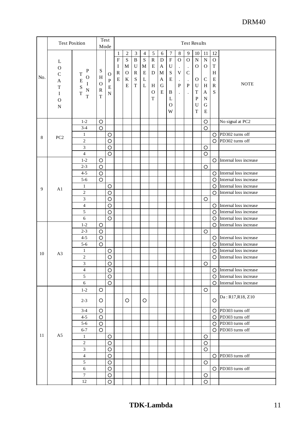# DRM40

|     | <b>Test Position</b>                                |                                      |                                         | Test<br>Mode              | <b>Test Results</b>                             |                                   |                                    |                                    |                        |                                      |                                                          |                                                     |                                                                  |                                            |                                           |                                                 |                                   |
|-----|-----------------------------------------------------|--------------------------------------|-----------------------------------------|---------------------------|-------------------------------------------------|-----------------------------------|------------------------------------|------------------------------------|------------------------|--------------------------------------|----------------------------------------------------------|-----------------------------------------------------|------------------------------------------------------------------|--------------------------------------------|-------------------------------------------|-------------------------------------------------|-----------------------------------|
|     |                                                     |                                      |                                         |                           | $\mathbf{1}$                                    | $\overline{c}$                    | $\mathfrak{Z}$                     | $\overline{4}$                     | $\overline{5}$         | 6                                    | 7                                                        | 8                                                   | 9                                                                | 10                                         | 11                                        | 12                                              |                                   |
| No. | L<br>$\mathbf{O}$<br>$\mathsf{C}$<br>A              | ${\bf P}$<br>T<br>$\mathcal{O}$<br>E | ${\bf S}$<br>H                          | $\mathbf{O}$<br>${\bf P}$ | $\overline{F}$<br>$\mathbf I$<br>${\bf R}$<br>E | S<br>M<br>$\mathbf{O}$<br>$\rm K$ | $\bf{B}$<br>U<br>$\mathbb{R}$<br>S | ${\bf S}$<br>$\mathbf M$<br>E<br>L | $\mathbf R$<br>E<br>D  | $\mathbf D$<br>A<br>$\mathbf M$<br>A | $\boldsymbol{\mathrm{F}}$<br>${\bf U}$<br>${\bf S}$<br>E | $\mathbf{O}$<br>$\bullet$<br>$\mathbf V$<br>$\cdot$ | $\mathbf O$<br>$\bullet$<br>$\mathsf{C}$<br>$\ddot{\phantom{a}}$ | ${\bf N}$<br>$\mathbf{O}$<br>O             | $\overline{N}$<br>$\Omega$<br>$\mathsf C$ | $\mathbf{O}$<br>$\mathbf T$<br>H<br>$\mathbf E$ |                                   |
|     | $\mathbf T$<br>$\bf I$<br>$\mathbf{O}$<br>${\bf N}$ | I<br>S<br>$\mathbf N$<br>T<br>T      | $\Omega$<br>$\mathbb{R}$<br>$\mathbf T$ | E<br>${\bf N}$            |                                                 | $\mathbf E$                       | $\mathbf T$                        | L                                  | H<br>$\mathbf{O}$<br>T | ${\bf G}$<br>$\mathbf E$             | B<br>L<br>$\Omega$<br>W                                  | $\mathbf{P}$<br>$\ddot{\phantom{0}}$                | $\, {\bf P}$<br>$\cdot$                                          | U<br>T<br>$\mathbf{P}$<br>U<br>$\mathbf T$ | H<br>A<br>$\mathbf N$<br>G<br>${\bf E}$   | ${\bf R}$<br>S                                  | <b>NOTE</b>                       |
|     |                                                     | $1 - 2$                              | $\circ$                                 |                           |                                                 |                                   |                                    |                                    |                        |                                      |                                                          |                                                     |                                                                  |                                            | $\circ$                                   |                                                 | No signal at PC2                  |
|     |                                                     | $3-4$                                | $\bigcirc$                              |                           |                                                 |                                   |                                    |                                    |                        |                                      |                                                          |                                                     |                                                                  |                                            | $\circ$                                   |                                                 |                                   |
| 8   | PC <sub>2</sub>                                     | 1                                    |                                         | $\circ$                   |                                                 |                                   |                                    |                                    |                        |                                      |                                                          |                                                     |                                                                  |                                            |                                           | $\circ$                                         | PD302 turns off                   |
|     |                                                     | $\sqrt{2}$                           |                                         | $\circ$                   |                                                 |                                   |                                    |                                    |                        |                                      |                                                          |                                                     |                                                                  |                                            |                                           | O.                                              | PD302 turns off                   |
|     |                                                     | 3                                    |                                         | $\circ$                   |                                                 |                                   |                                    |                                    |                        |                                      |                                                          |                                                     |                                                                  |                                            | O                                         |                                                 |                                   |
|     |                                                     | $\overline{4}$                       |                                         | $\circ$                   |                                                 |                                   |                                    |                                    |                        |                                      |                                                          |                                                     |                                                                  |                                            | $\circ$                                   |                                                 |                                   |
|     |                                                     | $1 - 2$                              | $\circ$                                 |                           |                                                 |                                   |                                    |                                    |                        |                                      |                                                          |                                                     |                                                                  |                                            |                                           |                                                 | $\bigcirc$ Internal loss increase |
|     |                                                     | $2 - 3$                              | $\circ$                                 |                           |                                                 |                                   |                                    |                                    |                        |                                      |                                                          |                                                     |                                                                  |                                            | $\circ$                                   |                                                 |                                   |
|     |                                                     | $4 - 5$                              | $\circ$                                 |                           |                                                 |                                   |                                    |                                    |                        |                                      |                                                          |                                                     |                                                                  |                                            |                                           | $\circ$                                         | Internal loss increase            |
|     |                                                     | $5-6$                                | $\circ$                                 |                           |                                                 |                                   |                                    |                                    |                        |                                      |                                                          |                                                     |                                                                  |                                            |                                           | $\circ$                                         | Internal loss increase            |
|     |                                                     | 1                                    |                                         | $\circ$                   |                                                 |                                   |                                    |                                    |                        |                                      |                                                          |                                                     |                                                                  |                                            |                                           | $\circ$                                         | Internal loss increase            |
| 9   | A1                                                  | $\sqrt{2}$                           |                                         | $\circ$                   |                                                 |                                   |                                    |                                    |                        |                                      |                                                          |                                                     |                                                                  |                                            |                                           | O.                                              | Internal loss increase            |
|     |                                                     | 3                                    |                                         | $\circ$                   |                                                 |                                   |                                    |                                    |                        |                                      |                                                          |                                                     |                                                                  |                                            | $\circ$                                   |                                                 |                                   |
|     |                                                     | $\overline{4}$                       |                                         | $\circ$                   |                                                 |                                   |                                    |                                    |                        |                                      |                                                          |                                                     |                                                                  |                                            |                                           |                                                 | $\bigcirc$ Internal loss increase |
|     |                                                     | 5                                    |                                         | $\circ$                   |                                                 |                                   |                                    |                                    |                        |                                      |                                                          |                                                     |                                                                  |                                            |                                           | $\circ$                                         | Internal loss increase            |
|     |                                                     | 6                                    |                                         | $\circ$                   |                                                 |                                   |                                    |                                    |                        |                                      |                                                          |                                                     |                                                                  |                                            |                                           |                                                 | $\bigcirc$ Internal loss increase |
|     |                                                     | $1 - 2$                              |                                         |                           |                                                 |                                   |                                    |                                    |                        |                                      |                                                          |                                                     |                                                                  |                                            |                                           |                                                 | Internal loss increase            |
|     |                                                     | $2 - 3$                              | $\circ$<br>$\circ$                      |                           |                                                 |                                   |                                    |                                    |                        |                                      |                                                          |                                                     |                                                                  |                                            | $\circ$                                   | $\circ$                                         |                                   |
|     |                                                     | $4 - 5$                              |                                         |                           |                                                 |                                   |                                    |                                    |                        |                                      |                                                          |                                                     |                                                                  |                                            |                                           | $\circ$                                         | Internal loss increase            |
|     |                                                     | $5 - 6$                              | $\circ$                                 |                           |                                                 |                                   |                                    |                                    |                        |                                      |                                                          |                                                     |                                                                  |                                            |                                           |                                                 | Internal loss increase            |
|     |                                                     |                                      | $\circ$                                 |                           |                                                 |                                   |                                    |                                    |                        |                                      |                                                          |                                                     |                                                                  |                                            |                                           | O                                               |                                   |
| 10  | A <sub>3</sub>                                      | 1                                    |                                         | O                         |                                                 |                                   |                                    |                                    |                        |                                      |                                                          |                                                     |                                                                  |                                            |                                           | O                                               | Internal loss increase            |
|     |                                                     | 2                                    |                                         | O                         |                                                 |                                   |                                    |                                    |                        |                                      |                                                          |                                                     |                                                                  |                                            |                                           | O                                               | Internal loss increase            |
|     |                                                     | 3                                    |                                         | $\circ$                   |                                                 |                                   |                                    |                                    |                        |                                      |                                                          |                                                     |                                                                  |                                            | $\circ$                                   |                                                 |                                   |
|     |                                                     | $\overline{4}$                       |                                         | $\circ$                   |                                                 |                                   |                                    |                                    |                        |                                      |                                                          |                                                     |                                                                  |                                            |                                           |                                                 | $\bigcirc$ Internal loss increase |
|     |                                                     | 5                                    |                                         | $\bigcirc$                |                                                 |                                   |                                    |                                    |                        |                                      |                                                          |                                                     |                                                                  |                                            |                                           | O.                                              | Internal loss increase            |
|     |                                                     | 6                                    |                                         | $\circ$                   |                                                 |                                   |                                    |                                    |                        |                                      |                                                          |                                                     |                                                                  |                                            |                                           | O                                               | Internal loss increase            |
|     |                                                     | $1 - 2$                              | O                                       |                           |                                                 |                                   |                                    |                                    |                        |                                      |                                                          |                                                     |                                                                  |                                            | O                                         |                                                 |                                   |
|     |                                                     | $2 - 3$                              | O                                       |                           |                                                 | O                                 |                                    | O                                  |                        |                                      |                                                          |                                                     |                                                                  |                                            |                                           | O                                               | Da: R17, R18, Z10                 |
|     |                                                     | $3-4$                                | O                                       |                           |                                                 |                                   |                                    |                                    |                        |                                      |                                                          |                                                     |                                                                  |                                            |                                           | O                                               | PD303 turns off                   |
|     |                                                     | $4 - 5$                              | $\bigcirc$                              |                           |                                                 |                                   |                                    |                                    |                        |                                      |                                                          |                                                     |                                                                  |                                            |                                           |                                                 | $\bigcirc$ PD303 turns off        |
|     |                                                     | $5 - 6$                              | $\circ$                                 |                           |                                                 |                                   |                                    |                                    |                        |                                      |                                                          |                                                     |                                                                  |                                            |                                           |                                                 | $\overline{O}$ PD303 turns off    |
|     |                                                     | $6 - 7$                              | $\circ$                                 |                           |                                                 |                                   |                                    |                                    |                        |                                      |                                                          |                                                     |                                                                  |                                            |                                           |                                                 | $\bigcirc$ PD303 turns off        |
| 11  | A <sub>5</sub>                                      | $\mathbf{1}$                         |                                         | $\circ$                   |                                                 |                                   |                                    |                                    |                        |                                      |                                                          |                                                     |                                                                  |                                            | $\circ$                                   |                                                 |                                   |
|     |                                                     | $\sqrt{2}$                           |                                         | $\circ$                   |                                                 |                                   |                                    |                                    |                        |                                      |                                                          |                                                     |                                                                  |                                            | $\circ$                                   |                                                 |                                   |
|     |                                                     | 3                                    |                                         | $\bigcirc$                |                                                 |                                   |                                    |                                    |                        |                                      |                                                          |                                                     |                                                                  |                                            | O                                         |                                                 |                                   |
|     |                                                     | $\overline{4}$                       |                                         | $\overline{O}$            |                                                 |                                   |                                    |                                    |                        |                                      |                                                          |                                                     |                                                                  |                                            |                                           | O                                               | PD303 turns off                   |
|     |                                                     | $\sqrt{5}$                           |                                         | $\circ$                   |                                                 |                                   |                                    |                                    |                        |                                      |                                                          |                                                     |                                                                  |                                            | $\circ$                                   |                                                 |                                   |
|     |                                                     | $\sqrt{6}$                           |                                         | $\circ$                   |                                                 |                                   |                                    |                                    |                        |                                      |                                                          |                                                     |                                                                  |                                            |                                           |                                                 | $\bigcirc$ PD303 turns off        |
|     |                                                     | $\boldsymbol{7}$                     |                                         | $\bigcirc$                |                                                 |                                   |                                    |                                    |                        |                                      |                                                          |                                                     |                                                                  |                                            | O                                         |                                                 |                                   |
|     |                                                     | 12                                   |                                         | $\circ$                   |                                                 |                                   |                                    |                                    |                        |                                      |                                                          |                                                     |                                                                  |                                            | $\circ$                                   |                                                 |                                   |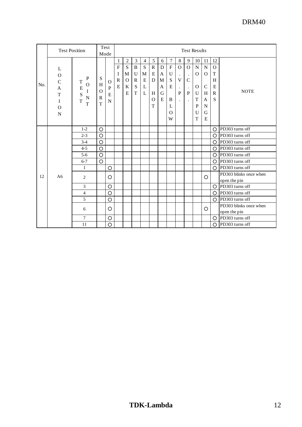|     | <b>Test Position</b>                                                                |                                                     |                                         | Test<br>Mode                      | <b>Test Results</b>                          |                                                          |                                                          |                                         |                                                |                                 |                                                                                     |                                                                 |                                                                          |                                                                            |                                                                               |                                                        |                                        |
|-----|-------------------------------------------------------------------------------------|-----------------------------------------------------|-----------------------------------------|-----------------------------------|----------------------------------------------|----------------------------------------------------------|----------------------------------------------------------|-----------------------------------------|------------------------------------------------|---------------------------------|-------------------------------------------------------------------------------------|-----------------------------------------------------------------|--------------------------------------------------------------------------|----------------------------------------------------------------------------|-------------------------------------------------------------------------------|--------------------------------------------------------|----------------------------------------|
| No. | L<br>$\mathcal{O}$<br>$\overline{C}$<br>A<br>T<br>I<br>$\mathcal{O}$<br>$\mathbf N$ | P<br>T<br>O<br>E<br>I<br>S<br>$\mathbf N$<br>T<br>T | S<br>H<br>$\Omega$<br>$\mathbb{R}$<br>T | $\Omega$<br>P<br>E<br>$\mathbf N$ | 1<br>$\overline{F}$<br>I<br>$\mathbf R$<br>E | $\overline{c}$<br>$\mathbf S$<br>M<br>$\Omega$<br>K<br>E | 3<br>$\, {\bf B}$<br>U<br>$\mathbb{R}$<br>${\bf S}$<br>T | $\overline{4}$<br>S<br>M<br>E<br>L<br>L | 5<br>${\bf R}$<br>E<br>D<br>H<br>$\Omega$<br>T | 6<br>D<br>A<br>M<br>A<br>G<br>E | $\tau$<br>$\mathbf F$<br>$\mathbf U$<br>$\mathbf S$<br>E<br>B<br>L<br>$\Omega$<br>W | 8<br>$\mathbf O$<br>V<br>$\bullet$<br>P<br>$\ddot{\phantom{a}}$ | 9<br>$\mathbf{O}$<br>$\cdot$<br>$\mathcal{C}$<br>$\cdot$<br>P<br>$\cdot$ | 10<br>${\bf N}$<br>$\Omega$<br>$\Omega$<br>U<br>T<br>P<br>U<br>$\mathbf T$ | 11<br>${\bf N}$<br>$\Omega$<br>$\mathbf C$<br>H<br>A<br>$\mathbf N$<br>G<br>E | 12<br>$\mathbf{O}$<br>T<br>H<br>E<br>$\mathbb{R}$<br>S | <b>NOTE</b>                            |
| 12  | A <sub>6</sub>                                                                      | $1-2$                                               | O                                       |                                   |                                              |                                                          |                                                          |                                         |                                                |                                 |                                                                                     |                                                                 |                                                                          |                                                                            |                                                                               | $\Omega$                                               | PD303 turns off                        |
|     |                                                                                     | $2 - 3$                                             | $\circ$                                 |                                   |                                              |                                                          |                                                          |                                         |                                                |                                 |                                                                                     |                                                                 |                                                                          |                                                                            |                                                                               | $\Omega$                                               | PD303 turns off                        |
|     |                                                                                     | $3 - 4$                                             | $\circ$                                 |                                   |                                              |                                                          |                                                          |                                         |                                                |                                 |                                                                                     |                                                                 |                                                                          |                                                                            |                                                                               | O                                                      | PD303 turns off                        |
|     |                                                                                     | $4 - 5$                                             | $\circ$                                 |                                   |                                              |                                                          |                                                          |                                         |                                                |                                 |                                                                                     |                                                                 |                                                                          |                                                                            |                                                                               | Ω                                                      | PD303 turns off                        |
|     |                                                                                     | $5 - 6$                                             | $\circ$                                 |                                   |                                              |                                                          |                                                          |                                         |                                                |                                 |                                                                                     |                                                                 |                                                                          |                                                                            |                                                                               | O                                                      | PD303 turns off                        |
|     |                                                                                     | $6 - 7$                                             | $\circ$                                 |                                   |                                              |                                                          |                                                          |                                         |                                                |                                 |                                                                                     |                                                                 |                                                                          |                                                                            |                                                                               | Ω                                                      | PD303 turns off                        |
|     |                                                                                     | $\mathbf{1}$                                        |                                         | $\circ$                           |                                              |                                                          |                                                          |                                         |                                                |                                 |                                                                                     |                                                                 |                                                                          |                                                                            |                                                                               | O                                                      | PD303 turns off                        |
|     |                                                                                     | 2                                                   |                                         | O                                 |                                              |                                                          |                                                          |                                         |                                                |                                 |                                                                                     |                                                                 |                                                                          |                                                                            | O                                                                             |                                                        | PD303 blinks once when<br>open the pin |
|     |                                                                                     | 3                                                   |                                         | O                                 |                                              |                                                          |                                                          |                                         |                                                |                                 |                                                                                     |                                                                 |                                                                          |                                                                            |                                                                               | $\Omega$                                               | PD303 turns off                        |
|     |                                                                                     | $\overline{4}$                                      |                                         | O                                 |                                              |                                                          |                                                          |                                         |                                                |                                 |                                                                                     |                                                                 |                                                                          |                                                                            |                                                                               | O                                                      | PD303 turns off                        |
|     |                                                                                     | 5                                                   |                                         | $\circ$                           |                                              |                                                          |                                                          |                                         |                                                |                                 |                                                                                     |                                                                 |                                                                          |                                                                            |                                                                               | $\Omega$                                               | PD303 turns off                        |
|     |                                                                                     | 6                                                   |                                         | O                                 |                                              |                                                          |                                                          |                                         |                                                |                                 |                                                                                     |                                                                 |                                                                          |                                                                            | O                                                                             |                                                        | PD303 blinks once when<br>open the pin |
|     |                                                                                     | $\tau$                                              |                                         | O                                 |                                              |                                                          |                                                          |                                         |                                                |                                 |                                                                                     |                                                                 |                                                                          |                                                                            |                                                                               | O                                                      | PD303 turns off                        |
|     |                                                                                     | 11                                                  |                                         | $\circ$                           |                                              |                                                          |                                                          |                                         |                                                |                                 |                                                                                     |                                                                 |                                                                          |                                                                            |                                                                               | $\circ$                                                | PD303 turns off                        |